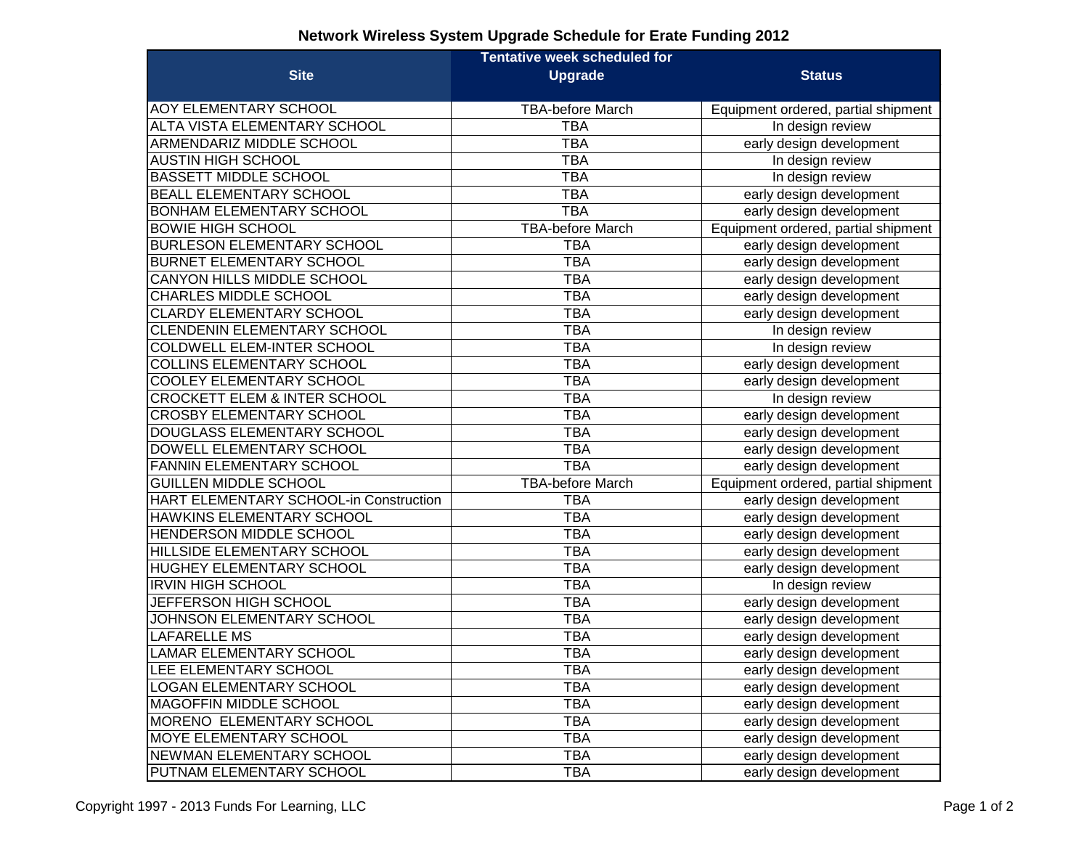## **Network Wireless System Upgrade Schedule for Erate Funding 2012**

|                                         | <b>Tentative week scheduled for</b> |                                     |
|-----------------------------------------|-------------------------------------|-------------------------------------|
| <b>Site</b>                             | <b>Upgrade</b>                      | <b>Status</b>                       |
| <b>AOY ELEMENTARY SCHOOL</b>            | <b>TBA-before March</b>             | Equipment ordered, partial shipment |
| ALTA VISTA ELEMENTARY SCHOOL            | <b>TBA</b>                          | In design review                    |
| <b>ARMENDARIZ MIDDLE SCHOOL</b>         | <b>TBA</b>                          | early design development            |
| <b>AUSTIN HIGH SCHOOL</b>               | <b>TBA</b>                          | In design review                    |
| <b>BASSETT MIDDLE SCHOOL</b>            | <b>TBA</b>                          | In design review                    |
| <b>BEALL ELEMENTARY SCHOOL</b>          | <b>TBA</b>                          | early design development            |
| <b>BONHAM ELEMENTARY SCHOOL</b>         | <b>TBA</b>                          | early design development            |
| <b>BOWIE HIGH SCHOOL</b>                | <b>TBA-before March</b>             | Equipment ordered, partial shipment |
| <b>BURLESON ELEMENTARY SCHOOL</b>       | <b>TBA</b>                          | early design development            |
| <b>BURNET ELEMENTARY SCHOOL</b>         | <b>TBA</b>                          | early design development            |
| <b>CANYON HILLS MIDDLE SCHOOL</b>       | <b>TBA</b>                          | early design development            |
| CHARLES MIDDLE SCHOOL                   | <b>TBA</b>                          | early design development            |
| <b>CLARDY ELEMENTARY SCHOOL</b>         | <b>TBA</b>                          | early design development            |
| <b>CLENDENIN ELEMENTARY SCHOOL</b>      | <b>TBA</b>                          | In design review                    |
| <b>COLDWELL ELEM-INTER SCHOOL</b>       | <b>TBA</b>                          | In design review                    |
| <b>COLLINS ELEMENTARY SCHOOL</b>        | <b>TBA</b>                          | early design development            |
| <b>COOLEY ELEMENTARY SCHOOL</b>         | <b>TBA</b>                          | early design development            |
| <b>CROCKETT ELEM &amp; INTER SCHOOL</b> | <b>TBA</b>                          | In design review                    |
| <b>CROSBY ELEMENTARY SCHOOL</b>         | <b>TBA</b>                          | early design development            |
| DOUGLASS ELEMENTARY SCHOOL              | <b>TBA</b>                          | early design development            |
| <b>DOWELL ELEMENTARY SCHOOL</b>         | <b>TBA</b>                          | early design development            |
| <b>FANNIN ELEMENTARY SCHOOL</b>         | <b>TBA</b>                          | early design development            |
| <b>GUILLEN MIDDLE SCHOOL</b>            | <b>TBA-before March</b>             | Equipment ordered, partial shipment |
| HART ELEMENTARY SCHOOL-in Construction  | <b>TBA</b>                          | early design development            |
| HAWKINS ELEMENTARY SCHOOL               | <b>TBA</b>                          | early design development            |
| <b>HENDERSON MIDDLE SCHOOL</b>          | <b>TBA</b>                          | early design development            |
| HILLSIDE ELEMENTARY SCHOOL              | <b>TBA</b>                          | early design development            |
| HUGHEY ELEMENTARY SCHOOL                | <b>TBA</b>                          | early design development            |
| <b>IRVIN HIGH SCHOOL</b>                | <b>TBA</b>                          | In design review                    |
| JEFFERSON HIGH SCHOOL                   | <b>TBA</b>                          | early design development            |
| JOHNSON ELEMENTARY SCHOOL               | <b>TBA</b>                          | early design development            |
| <b>LAFARELLE MS</b>                     | <b>TBA</b>                          | early design development            |
| <b>LAMAR ELEMENTARY SCHOOL</b>          | <b>TBA</b>                          | early design development            |
| LEE ELEMENTARY SCHOOL                   | ТВА                                 | early design development            |
| <b>LOGAN ELEMENTARY SCHOOL</b>          | <b>TBA</b>                          | early design development            |
| <b>MAGOFFIN MIDDLE SCHOOL</b>           | <b>TBA</b>                          | early design development            |
| MORENO ELEMENTARY SCHOOL                | <b>TBA</b>                          | early design development            |
| <b>MOYE ELEMENTARY SCHOOL</b>           | <b>TBA</b>                          | early design development            |
| NEWMAN ELEMENTARY SCHOOL                | <b>TBA</b>                          | early design development            |
| PUTNAM ELEMENTARY SCHOOL                | <b>TBA</b>                          | early design development            |